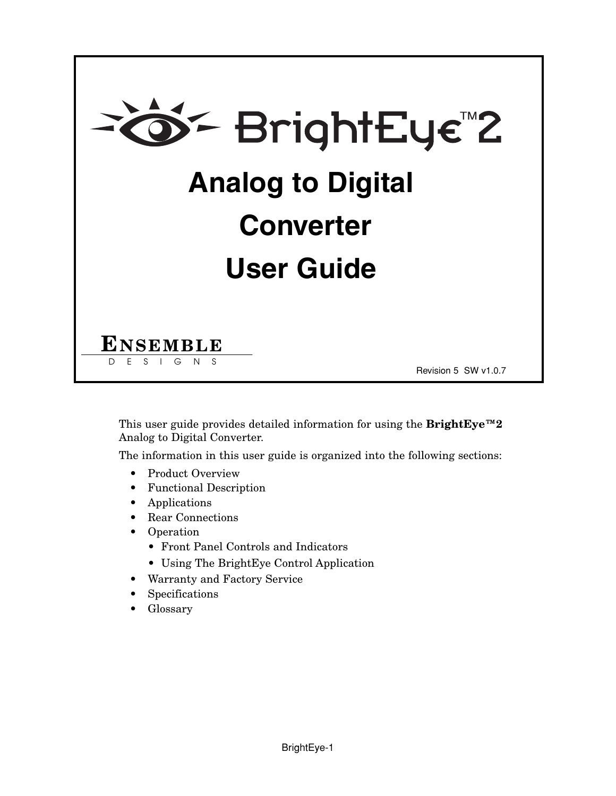

This user guide provides detailed information for using the **BrightEye™2** Analog to Digital Converter.

The information in this user guide is organized into the following sections:

- Product Overview
- Functional Description
- Applications
- Rear Connections
- Operation
	- Front Panel Controls and Indicators
	- Using The BrightEye Control Application
- Warranty and Factory Service
- Specifications
- Glossary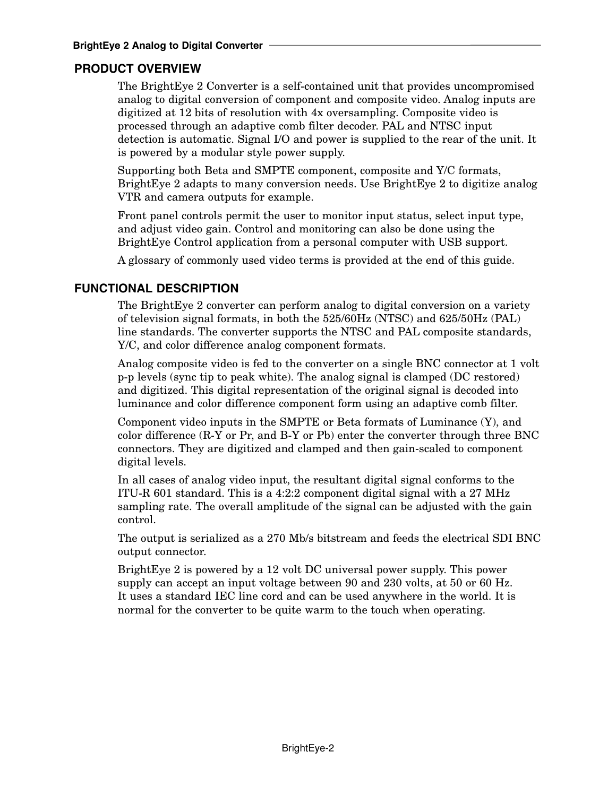# **PRODUCT OVERVIEW**

The BrightEye 2 Converter is a self-contained unit that provides uncompromised analog to digital conversion of component and composite video. Analog inputs are digitized at 12 bits of resolution with 4x oversampling. Composite video is processed through an adaptive comb filter decoder. PAL and NTSC input detection is automatic. Signal I/O and power is supplied to the rear of the unit. It is powered by a modular style power supply.

Supporting both Beta and SMPTE component, composite and Y/C formats, BrightEye 2 adapts to many conversion needs. Use BrightEye 2 to digitize analog VTR and camera outputs for example.

Front panel controls permit the user to monitor input status, select input type, and adjust video gain. Control and monitoring can also be done using the BrightEye Control application from a personal computer with USB support.

A glossary of commonly used video terms is provided at the end of this guide.

# **FUNCTIONAL DESCRIPTION**

The BrightEye 2 converter can perform analog to digital conversion on a variety of television signal formats, in both the 525/60Hz (NTSC) and 625/50Hz (PAL) line standards. The converter supports the NTSC and PAL composite standards, Y/C, and color difference analog component formats.

Analog composite video is fed to the converter on a single BNC connector at 1 volt p-p levels (sync tip to peak white). The analog signal is clamped (DC restored) and digitized. This digital representation of the original signal is decoded into luminance and color difference component form using an adaptive comb filter.

Component video inputs in the SMPTE or Beta formats of Luminance (Y), and color difference (R-Y or Pr, and B-Y or Pb) enter the converter through three BNC connectors. They are digitized and clamped and then gain-scaled to component digital levels.

In all cases of analog video input, the resultant digital signal conforms to the ITU-R 601 standard. This is a 4:2:2 component digital signal with a 27 MHz sampling rate. The overall amplitude of the signal can be adjusted with the gain control.

The output is serialized as a 270 Mb/s bitstream and feeds the electrical SDI BNC output connector.

BrightEye 2 is powered by a 12 volt DC universal power supply. This power supply can accept an input voltage between 90 and 230 volts, at 50 or 60 Hz. It uses a standard IEC line cord and can be used anywhere in the world. It is normal for the converter to be quite warm to the touch when operating.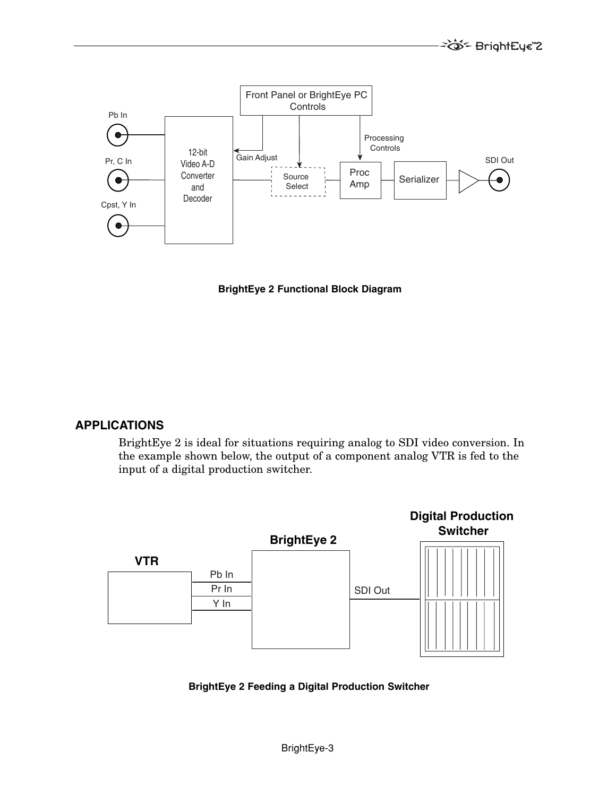

**BrightEye 2 Functional Block Diagram**

## **APPLICATIONS**

BrightEye 2 is ideal for situations requiring analog to SDI video conversion. In the example shown below, the output of a component analog VTR is fed to the input of a digital production switcher.



**BrightEye 2 Feeding a Digital Production Switcher**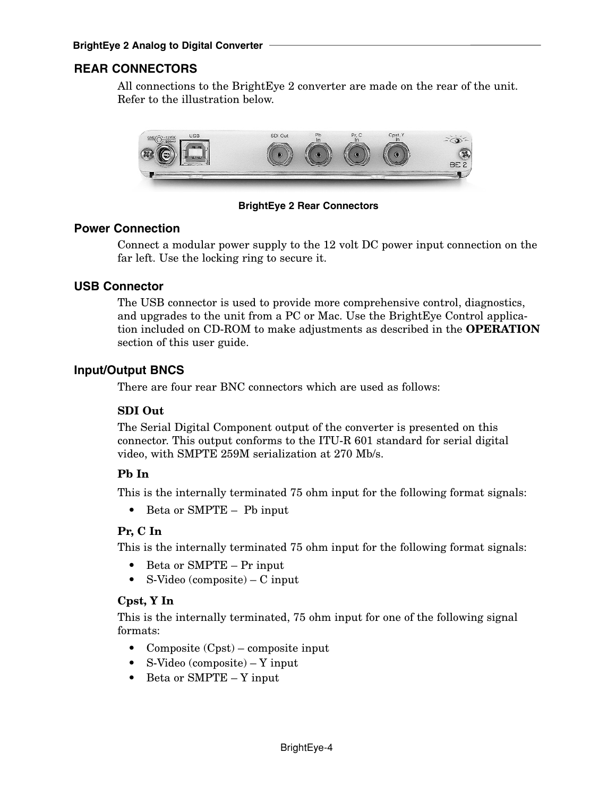## **REAR CONNECTORS**

All connections to the BrightEye 2 converter are made on the rear of the unit. Refer to the illustration below.



**BrightEye 2 Rear Connectors**

### **Power Connection**

Connect a modular power supply to the 12 volt DC power input connection on the far left. Use the locking ring to secure it.

### **USB Connector**

The USB connector is used to provide more comprehensive control, diagnostics, and upgrades to the unit from a PC or Mac. Use the BrightEye Control application included on CD-ROM to make adjustments as described in the **OPERATION** section of this user guide.

### **Input/Output BNCS**

There are four rear BNC connectors which are used as follows:

#### **SDI Out**

The Serial Digital Component output of the converter is presented on this connector. This output conforms to the ITU-R 601 standard for serial digital video, with SMPTE 259M serialization at 270 Mb/s.

#### **Pb In**

This is the internally terminated 75 ohm input for the following format signals:

• Beta or SMPTE – Pb input

#### **Pr, C In**

This is the internally terminated 75 ohm input for the following format signals:

- Beta or SMPTE Pr input
- S-Video (composite) C input

#### **Cpst, Y In**

This is the internally terminated, 75 ohm input for one of the following signal formats:

- Composite (Cpst) composite input
- S-Video (composite) Y input
- Beta or SMPTE Y input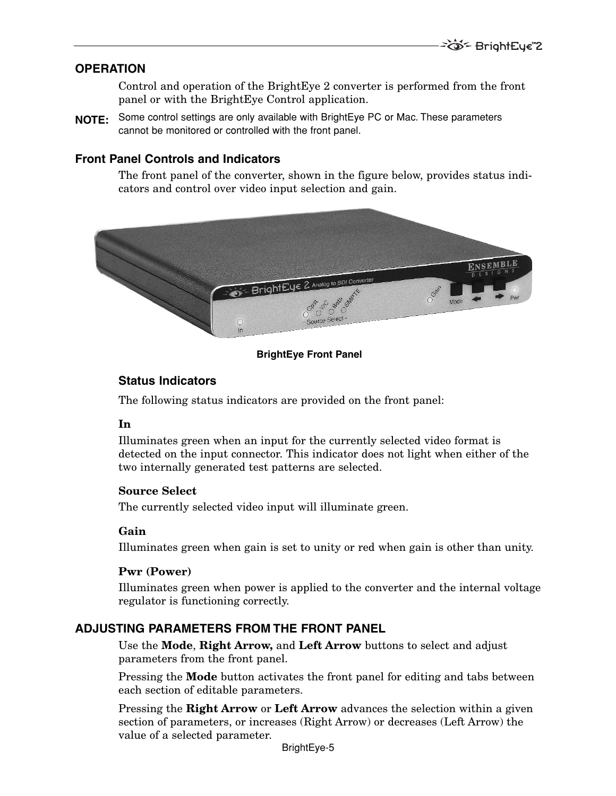## **OPERATION**

Control and operation of the BrightEye 2 converter is performed from the front panel or with the BrightEye Control application.

Some control settings are only available with BrightEye PC or Mac. These parameters **NOTE:**cannot be monitored or controlled with the front panel.

### **Front Panel Controls and Indicators**

The front panel of the converter, shown in the figure below, provides status indicators and control over video input selection and gain.



#### **BrightEye Front Panel**

### **Status Indicators**

The following status indicators are provided on the front panel:

#### **In**

Illuminates green when an input for the currently selected video format is detected on the input connector. This indicator does not light when either of the two internally generated test patterns are selected.

#### **Source Select**

The currently selected video input will illuminate green.

#### **Gain**

Illuminates green when gain is set to unity or red when gain is other than unity.

#### **Pwr (Power)**

Illuminates green when power is applied to the converter and the internal voltage regulator is functioning correctly.

## **ADJUSTING PARAMETERS FROM THE FRONT PANEL**

Use the **Mode**, **Right Arrow,** and **Left Arrow** buttons to select and adjust parameters from the front panel.

Pressing the **Mode** button activates the front panel for editing and tabs between each section of editable parameters.

Pressing the **Right Arrow** or **Left Arrow** advances the selection within a given section of parameters, or increases (Right Arrow) or decreases (Left Arrow) the value of a selected parameter.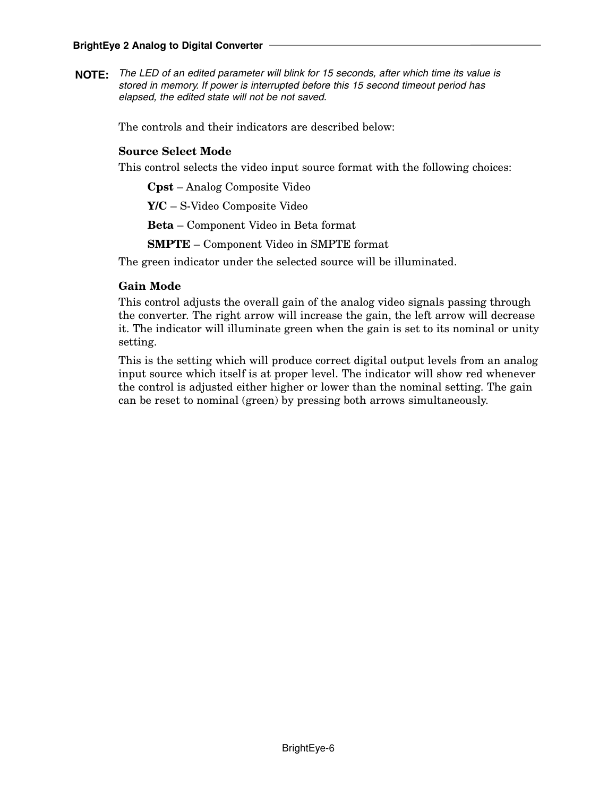The LED of an edited parameter will blink for 15 seconds, after which time its value is **NOTE:**stored in memory. If power is interrupted before this 15 second timeout period has elapsed, the edited state will not be not saved.

The controls and their indicators are described below:

### **Source Select Mode**

This control selects the video input source format with the following choices:

**Cpst** – Analog Composite Video

**Y/C** – S-Video Composite Video

**Beta** – Component Video in Beta format

**SMPTE** – Component Video in SMPTE format

The green indicator under the selected source will be illuminated.

### **Gain Mode**

This control adjusts the overall gain of the analog video signals passing through the converter. The right arrow will increase the gain, the left arrow will decrease it. The indicator will illuminate green when the gain is set to its nominal or unity setting.

This is the setting which will produce correct digital output levels from an analog input source which itself is at proper level. The indicator will show red whenever the control is adjusted either higher or lower than the nominal setting. The gain can be reset to nominal (green) by pressing both arrows simultaneously.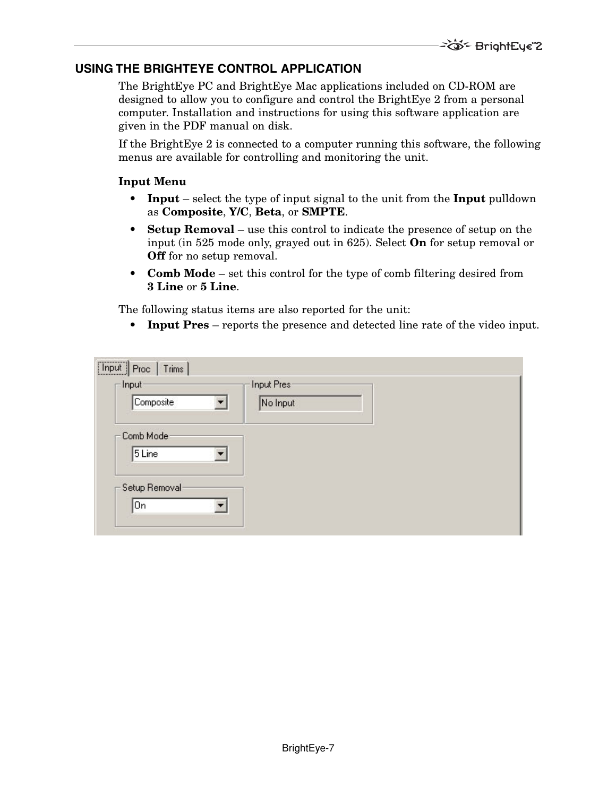# **USING THE BRIGHTEYE CONTROL APPLICATION**

The BrightEye PC and BrightEye Mac applications included on CD-ROM are designed to allow you to configure and control the BrightEye 2 from a personal computer. Installation and instructions for using this software application are given in the PDF manual on disk.

If the BrightEye 2 is connected to a computer running this software, the following menus are available for controlling and monitoring the unit.

### **Input Menu**

- **Input** select the type of input signal to the unit from the **Input** pulldown as **Composite**, **Y/C**, **Beta**, or **SMPTE**.
- **Setup Removal** use this control to indicate the presence of setup on the input (in 525 mode only, grayed out in 625). Select **On** for setup removal or **Off** for no setup removal.
- **Comb Mode** set this control for the type of comb filtering desired from **3 Line** or **5 Line**.

The following status items are also reported for the unit:

• **Input Pres** – reports the presence and detected line rate of the video input.

| -Input-       | Input Pres-   |  |
|---------------|---------------|--|
| Composite     | ▼<br>No Input |  |
| Comb Mode:    |               |  |
| 5 Line        |               |  |
|               |               |  |
| Setup Removal |               |  |
|               |               |  |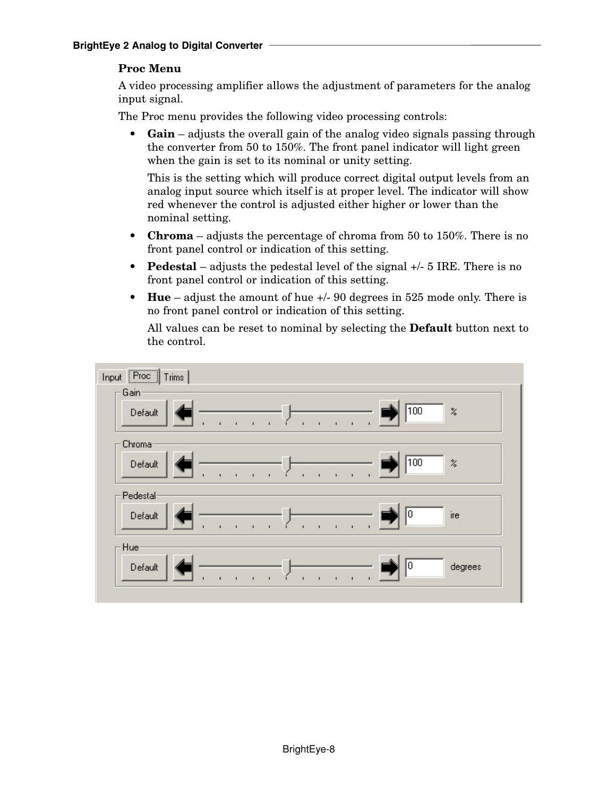# **Proc Menu**

A video processing amplifier allows the adjustment of parameters for the analog input signal.

The Proc menu provides the following video processing controls:

**• Gain** – adjusts the overall gain of the analog video signals passing through the converter from 50 to 150%. The front panel indicator will light green when the gain is set to its nominal or unity setting.

This is the setting which will produce correct digital output levels from an analog input source which itself is at proper level. The indicator will show red whenever the control is adjusted either higher or lower than the nominal setting.

- **Chroma** adjusts the percentage of chroma from 50 to 150%. There is no front panel control or indication of this setting.
- **Pedestal** adjusts the pedestal level of the signal +/- 5 IRE. There is no front panel control or indication of this setting.
- **Hue** adjust the amount of hue +/- 90 degrees in 525 mode only. There is no front panel control or indication of this setting.

All values can be reset to nominal by selecting the **Default** button next to the control.

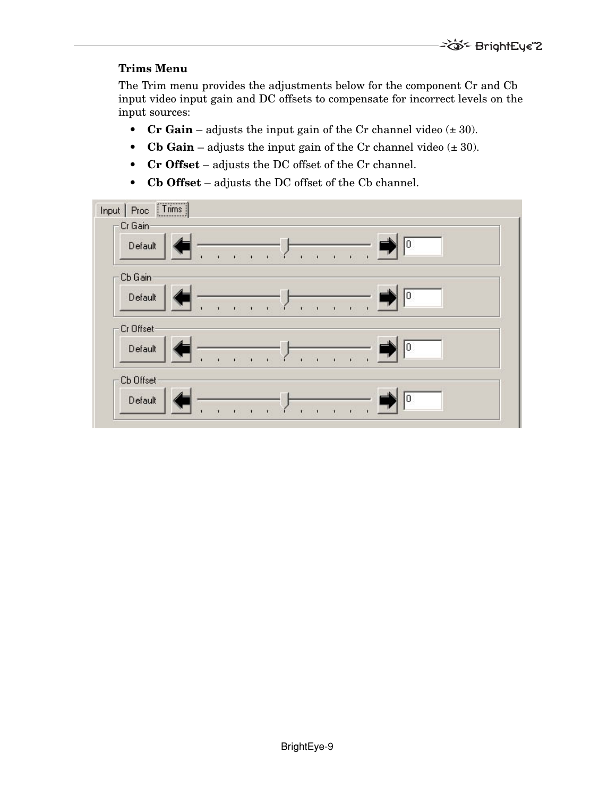## **Trims Menu**

The Trim menu provides the adjustments below for the component Cr and Cb input video input gain and DC offsets to compensate for incorrect levels on the input sources:

- **Cr Gain** adjusts the input gain of the Cr channel video  $(\pm 30)$ .
- **Cb Gain** adjusts the input gain of the Cr channel video  $(\pm 30)$ .
- **Cr Offset** adjusts the DC offset of the Cr channel.
- **Cb Offset** adjusts the DC offset of the Cb channel.

| Proc   Trims  <br>Input |                |              |              |                      |              |    |
|-------------------------|----------------|--------------|--------------|----------------------|--------------|----|
| Cr Gain                 |                |              |              |                      |              |    |
| Default                 |                |              |              |                      |              | 0  |
|                         | $\blacksquare$ | $\mathbf{I}$ | $\mathbf{r}$ | $\rightarrow$        |              |    |
| Cb Gain                 |                |              |              |                      |              |    |
| Default                 |                |              |              |                      |              | 0  |
|                         |                |              | $\mathbf{I}$ | $\ddot{\phantom{1}}$ | $\mathbf{r}$ |    |
| Cr Offset               |                |              |              |                      |              |    |
| Default                 |                |              |              |                      |              | 10 |
|                         | 1              |              |              |                      | r.           |    |
| Cb Offset               |                |              |              |                      |              |    |
| Default                 |                |              | $\mathbf{I}$ |                      |              | Ю  |
|                         |                |              |              |                      | r.           |    |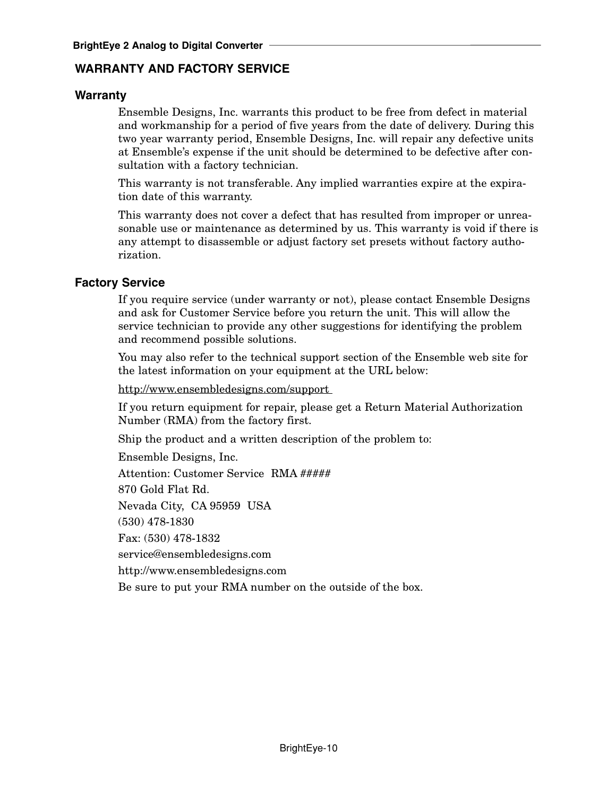# **WARRANTY AND FACTORY SERVICE**

## **Warranty**

Ensemble Designs, Inc. warrants this product to be free from defect in material and workmanship for a period of five years from the date of delivery. During this two year warranty period, Ensemble Designs, Inc. will repair any defective units at Ensemble's expense if the unit should be determined to be defective after consultation with a factory technician.

This warranty is not transferable. Any implied warranties expire at the expiration date of this warranty.

This warranty does not cover a defect that has resulted from improper or unreasonable use or maintenance as determined by us. This warranty is void if there is any attempt to disassemble or adjust factory set presets without factory authorization.

#### **Factory Service**

If you require service (under warranty or not), please contact Ensemble Designs and ask for Customer Service before you return the unit. This will allow the service technician to provide any other suggestions for identifying the problem and recommend possible solutions.

You may also refer to the technical support section of the Ensemble web site for the latest information on your equipment at the URL below:

http://www.ensembledesigns.com/support

If you return equipment for repair, please get a Return Material Authorization Number (RMA) from the factory first.

Ship the product and a written description of the problem to:

Ensemble Designs, Inc. Attention: Customer Service RMA ##### 870 Gold Flat Rd. Nevada City, CA 95959 USA (530) 478-1830 Fax: (530) 478-1832 service@ensembledesigns.com http://www.ensembledesigns.com Be sure to put your RMA number on the outside of the box.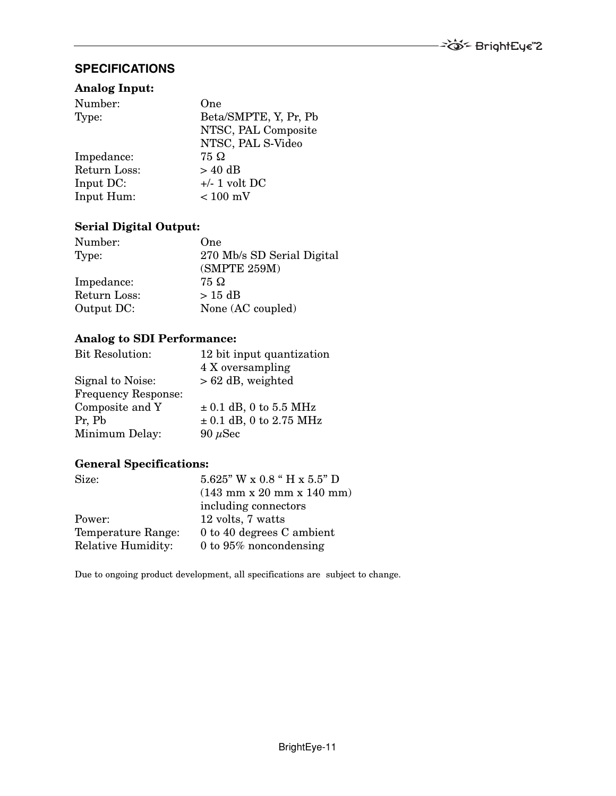# **SPECIFICATIONS**

#### **Analog Input:**

| Number:      | One                   |
|--------------|-----------------------|
| Type:        | Beta/SMPTE, Y, Pr, Pb |
|              | NTSC, PAL Composite   |
|              | NTSC, PAL S-Video     |
| Impedance:   | 75 Ω                  |
| Return Loss: | $> 40$ dB             |
| Input DC:    | $+/- 1$ volt DC       |
| Input Hum:   | $< 100$ mV            |

### **Serial Digital Output:**

| Number:      | One                        |
|--------------|----------------------------|
| Type:        | 270 Mb/s SD Serial Digital |
|              | (SMPTE 259M)               |
| Impedance:   | 75 Ω                       |
| Return Loss: | $>15$ dB                   |
| Output DC:   | None (AC coupled)          |

# **Analog to SDI Performance:**

| <b>Bit Resolution:</b>     | 12 bit input quantization   |
|----------------------------|-----------------------------|
|                            | 4 X oversampling            |
| Signal to Noise:           | $> 62$ dB, weighted         |
| <b>Frequency Response:</b> |                             |
| Composite and Y            | $\pm$ 0.1 dB, 0 to 5.5 MHz  |
| Pr, Pb                     | $\pm$ 0.1 dB, 0 to 2.75 MHz |
| Minimum Delay:             | 90 $\mu$ Sec                |

## **General Specifications:**

| Size:                     | $5.625$ " W x $0.8$ " H x $5.5$ " D                           |
|---------------------------|---------------------------------------------------------------|
|                           | $(143 \text{ mm} \times 20 \text{ mm} \times 140 \text{ mm})$ |
|                           | including connectors                                          |
| Power:                    | 12 volts, 7 watts                                             |
| Temperature Range:        | 0 to 40 degrees C ambient                                     |
| <b>Relative Humidity:</b> | 0 to $95\%$ noncondensing                                     |

Due to ongoing product development, all specifications are subject to change.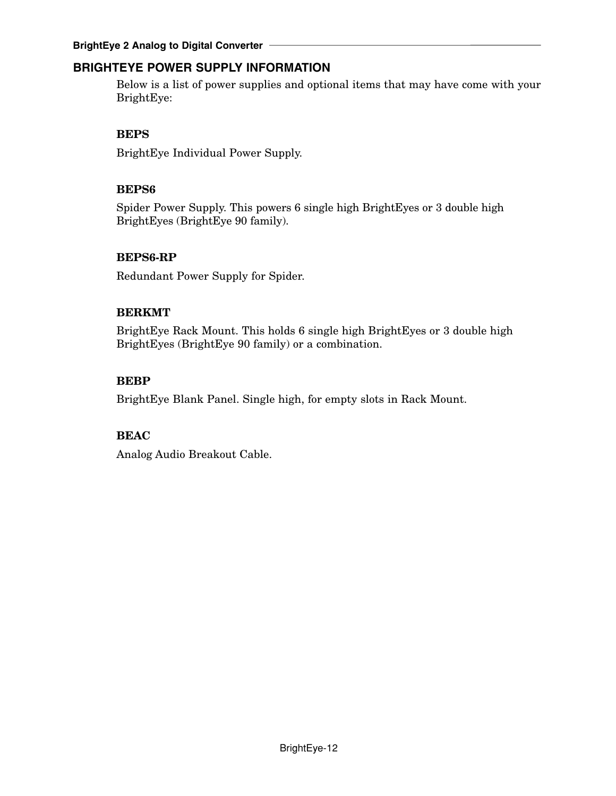# **BRIGHTEYE POWER SUPPLY INFORMATION**

Below is a list of power supplies and optional items that may have come with your BrightEye:

# **BEPS**

BrightEye Individual Power Supply.

# **BEPS6**

Spider Power Supply. This powers 6 single high BrightEyes or 3 double high BrightEyes (BrightEye 90 family).

# **BEPS6-RP**

Redundant Power Supply for Spider.

# **BERKMT**

BrightEye Rack Mount. This holds 6 single high BrightEyes or 3 double high BrightEyes (BrightEye 90 family) or a combination.

# **BEBP**

BrightEye Blank Panel. Single high, for empty slots in Rack Mount.

## **BEAC**

Analog Audio Breakout Cable.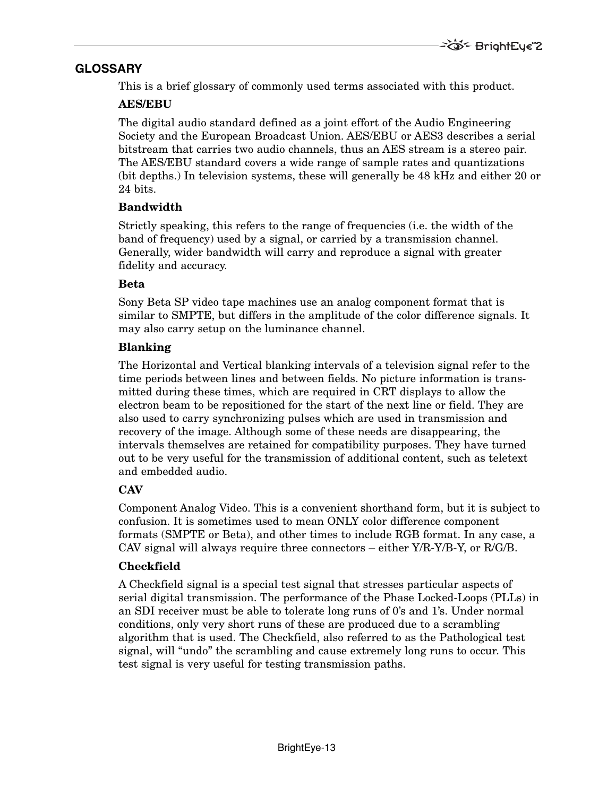# **GLOSSARY**

This is a brief glossary of commonly used terms associated with this product.

# **AES/EBU**

The digital audio standard defined as a joint effort of the Audio Engineering Society and the European Broadcast Union. AES/EBU or AES3 describes a serial bitstream that carries two audio channels, thus an AES stream is a stereo pair. The AES/EBU standard covers a wide range of sample rates and quantizations (bit depths.) In television systems, these will generally be 48 kHz and either 20 or 24 bits.

# **Bandwidth**

Strictly speaking, this refers to the range of frequencies (i.e. the width of the band of frequency) used by a signal, or carried by a transmission channel. Generally, wider bandwidth will carry and reproduce a signal with greater fidelity and accuracy.

# **Beta**

Sony Beta SP video tape machines use an analog component format that is similar to SMPTE, but differs in the amplitude of the color difference signals. It may also carry setup on the luminance channel.

# **Blanking**

The Horizontal and Vertical blanking intervals of a television signal refer to the time periods between lines and between fields. No picture information is transmitted during these times, which are required in CRT displays to allow the electron beam to be repositioned for the start of the next line or field. They are also used to carry synchronizing pulses which are used in transmission and recovery of the image. Although some of these needs are disappearing, the intervals themselves are retained for compatibility purposes. They have turned out to be very useful for the transmission of additional content, such as teletext and embedded audio.

# **CAV**

Component Analog Video. This is a convenient shorthand form, but it is subject to confusion. It is sometimes used to mean ONLY color difference component formats (SMPTE or Beta), and other times to include RGB format. In any case, a CAV signal will always require three connectors  $-$  either  $Y/R-Y/B-Y$ , or  $R/G/B$ .

# **Checkfield**

A Checkfield signal is a special test signal that stresses particular aspects of serial digital transmission. The performance of the Phase Locked-Loops (PLLs) in an SDI receiver must be able to tolerate long runs of 0's and 1's. Under normal conditions, only very short runs of these are produced due to a scrambling algorithm that is used. The Checkfield, also referred to as the Pathological test signal, will "undo" the scrambling and cause extremely long runs to occur. This test signal is very useful for testing transmission paths.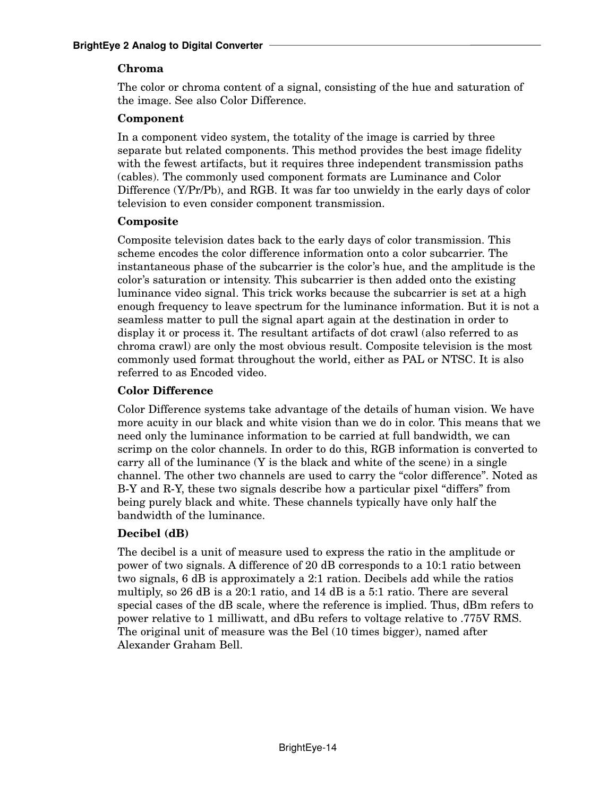# **Chroma**

The color or chroma content of a signal, consisting of the hue and saturation of the image. See also Color Difference.

## **Component**

In a component video system, the totality of the image is carried by three separate but related components. This method provides the best image fidelity with the fewest artifacts, but it requires three independent transmission paths (cables). The commonly used component formats are Luminance and Color Difference (Y/Pr/Pb), and RGB. It was far too unwieldy in the early days of color television to even consider component transmission.

## **Composite**

Composite television dates back to the early days of color transmission. This scheme encodes the color difference information onto a color subcarrier. The instantaneous phase of the subcarrier is the color's hue, and the amplitude is the color's saturation or intensity. This subcarrier is then added onto the existing luminance video signal. This trick works because the subcarrier is set at a high enough frequency to leave spectrum for the luminance information. But it is not a seamless matter to pull the signal apart again at the destination in order to display it or process it. The resultant artifacts of dot crawl (also referred to as chroma crawl) are only the most obvious result. Composite television is the most commonly used format throughout the world, either as PAL or NTSC. It is also referred to as Encoded video.

# **Color Difference**

Color Difference systems take advantage of the details of human vision. We have more acuity in our black and white vision than we do in color. This means that we need only the luminance information to be carried at full bandwidth, we can scrimp on the color channels. In order to do this, RGB information is converted to carry all of the luminance  $(Y$  is the black and white of the scene) in a single channel. The other two channels are used to carry the "color difference". Noted as B-Y and R-Y, these two signals describe how a particular pixel "differs" from being purely black and white. These channels typically have only half the bandwidth of the luminance.

# **Decibel (dB)**

The decibel is a unit of measure used to express the ratio in the amplitude or power of two signals. A difference of 20 dB corresponds to a 10:1 ratio between two signals, 6 dB is approximately a 2:1 ration. Decibels add while the ratios multiply, so 26 dB is a 20:1 ratio, and 14 dB is a 5:1 ratio. There are several special cases of the dB scale, where the reference is implied. Thus, dBm refers to power relative to 1 milliwatt, and dBu refers to voltage relative to .775V RMS. The original unit of measure was the Bel (10 times bigger), named after Alexander Graham Bell.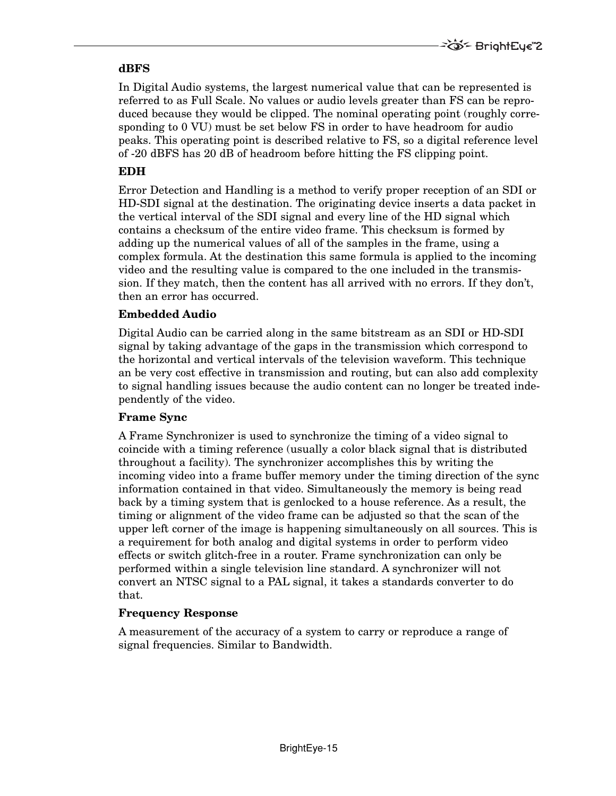### **dBFS**

In Digital Audio systems, the largest numerical value that can be represented is referred to as Full Scale. No values or audio levels greater than FS can be reproduced because they would be clipped. The nominal operating point (roughly corresponding to 0 VU) must be set below FS in order to have headroom for audio peaks. This operating point is described relative to FS, so a digital reference level of -20 dBFS has 20 dB of headroom before hitting the FS clipping point.

## **EDH**

Error Detection and Handling is a method to verify proper reception of an SDI or HD-SDI signal at the destination. The originating device inserts a data packet in the vertical interval of the SDI signal and every line of the HD signal which contains a checksum of the entire video frame. This checksum is formed by adding up the numerical values of all of the samples in the frame, using a complex formula. At the destination this same formula is applied to the incoming video and the resulting value is compared to the one included in the transmission. If they match, then the content has all arrived with no errors. If they don't, then an error has occurred.

## **Embedded Audio**

Digital Audio can be carried along in the same bitstream as an SDI or HD-SDI signal by taking advantage of the gaps in the transmission which correspond to the horizontal and vertical intervals of the television waveform. This technique an be very cost effective in transmission and routing, but can also add complexity to signal handling issues because the audio content can no longer be treated independently of the video.

## **Frame Sync**

A Frame Synchronizer is used to synchronize the timing of a video signal to coincide with a timing reference (usually a color black signal that is distributed throughout a facility). The synchronizer accomplishes this by writing the incoming video into a frame buffer memory under the timing direction of the sync information contained in that video. Simultaneously the memory is being read back by a timing system that is genlocked to a house reference. As a result, the timing or alignment of the video frame can be adjusted so that the scan of the upper left corner of the image is happening simultaneously on all sources. This is a requirement for both analog and digital systems in order to perform video effects or switch glitch-free in a router. Frame synchronization can only be performed within a single television line standard. A synchronizer will not convert an NTSC signal to a PAL signal, it takes a standards converter to do that.

#### **Frequency Response**

A measurement of the accuracy of a system to carry or reproduce a range of signal frequencies. Similar to Bandwidth.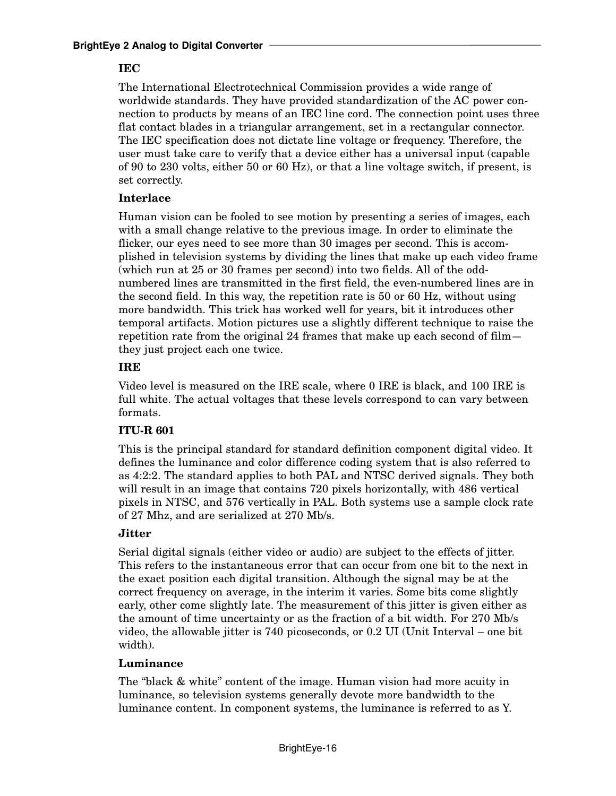### **IEC**

The International Electrotechnical Commission provides a wide range of worldwide standards. They have provided standardization of the AC power connection to products by means of an IEC line cord. The connection point uses three flat contact blades in a triangular arrangement, set in a rectangular connector. The IEC specification does not dictate line voltage or frequency. Therefore, the user must take care to verify that a device either has a universal input (capable of 90 to 230 volts, either 50 or 60 Hz), or that a line voltage switch, if present, is set correctly.

### **Interlace**

Human vision can be fooled to see motion by presenting a series of images, each with a small change relative to the previous image. In order to eliminate the flicker, our eyes need to see more than 30 images per second. This is accomplished in television systems by dividing the lines that make up each video frame (which run at 25 or 30 frames per second) into two fields. All of the oddnumbered lines are transmitted in the first field, the even-numbered lines are in the second field. In this way, the repetition rate is 50 or 60 Hz, without using more bandwidth. This trick has worked well for years, bit it introduces other temporal artifacts. Motion pictures use a slightly different technique to raise the repetition rate from the original 24 frames that make up each second of film they just project each one twice.

### **IRE**

Video level is measured on the IRE scale, where 0 IRE is black, and 100 IRE is full white. The actual voltages that these levels correspond to can vary between formats.

## **ITU-R 601**

This is the principal standard for standard definition component digital video. It defines the luminance and color difference coding system that is also referred to as 4:2:2. The standard applies to both PAL and NTSC derived signals. They both will result in an image that contains 720 pixels horizontally, with 486 vertical pixels in NTSC, and 576 vertically in PAL. Both systems use a sample clock rate of 27 Mhz, and are serialized at 270 Mb/s.

## **Jitter**

Serial digital signals (either video or audio) are subject to the effects of jitter. This refers to the instantaneous error that can occur from one bit to the next in the exact position each digital transition. Although the signal may be at the correct frequency on average, in the interim it varies. Some bits come slightly early, other come slightly late. The measurement of this jitter is given either as the amount of time uncertainty or as the fraction of a bit width. For 270 Mb/s video, the allowable jitter is 740 picoseconds, or 0.2 UI (Unit Interval – one bit width).

#### **Luminance**

The "black & white" content of the image. Human vision had more acuity in luminance, so television systems generally devote more bandwidth to the luminance content. In component systems, the luminance is referred to as Y.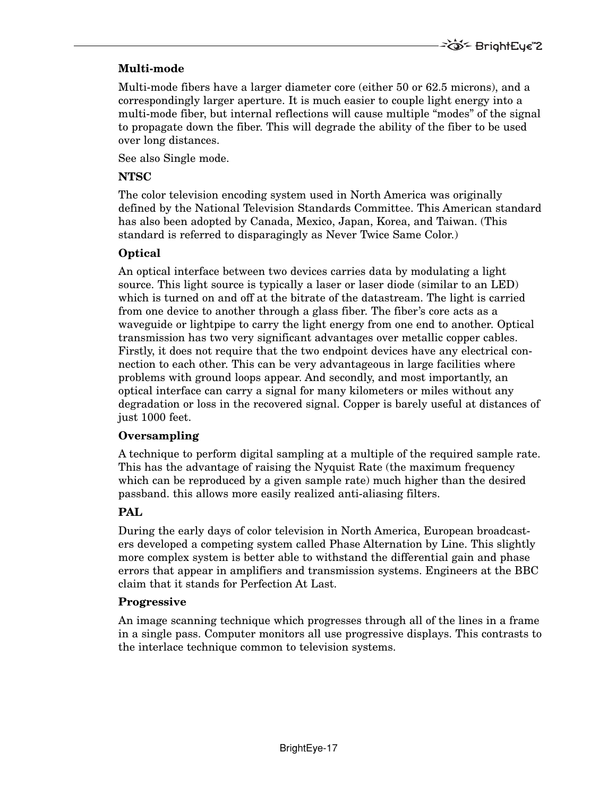## **Multi-mode**

Multi-mode fibers have a larger diameter core (either 50 or 62.5 microns), and a correspondingly larger aperture. It is much easier to couple light energy into a multi-mode fiber, but internal reflections will cause multiple "modes" of the signal to propagate down the fiber. This will degrade the ability of the fiber to be used over long distances.

See also Single mode.

## **NTSC**

The color television encoding system used in North America was originally defined by the National Television Standards Committee. This American standard has also been adopted by Canada, Mexico, Japan, Korea, and Taiwan. (This standard is referred to disparagingly as Never Twice Same Color.)

## **Optical**

An optical interface between two devices carries data by modulating a light source. This light source is typically a laser or laser diode (similar to an LED) which is turned on and off at the bitrate of the datastream. The light is carried from one device to another through a glass fiber. The fiber's core acts as a waveguide or lightpipe to carry the light energy from one end to another. Optical transmission has two very significant advantages over metallic copper cables. Firstly, it does not require that the two endpoint devices have any electrical connection to each other. This can be very advantageous in large facilities where problems with ground loops appear. And secondly, and most importantly, an optical interface can carry a signal for many kilometers or miles without any degradation or loss in the recovered signal. Copper is barely useful at distances of just 1000 feet.

## **Oversampling**

A technique to perform digital sampling at a multiple of the required sample rate. This has the advantage of raising the Nyquist Rate (the maximum frequency which can be reproduced by a given sample rate) much higher than the desired passband. this allows more easily realized anti-aliasing filters.

# **PAL**

During the early days of color television in North America, European broadcasters developed a competing system called Phase Alternation by Line. This slightly more complex system is better able to withstand the differential gain and phase errors that appear in amplifiers and transmission systems. Engineers at the BBC claim that it stands for Perfection At Last.

## **Progressive**

An image scanning technique which progresses through all of the lines in a frame in a single pass. Computer monitors all use progressive displays. This contrasts to the interlace technique common to television systems.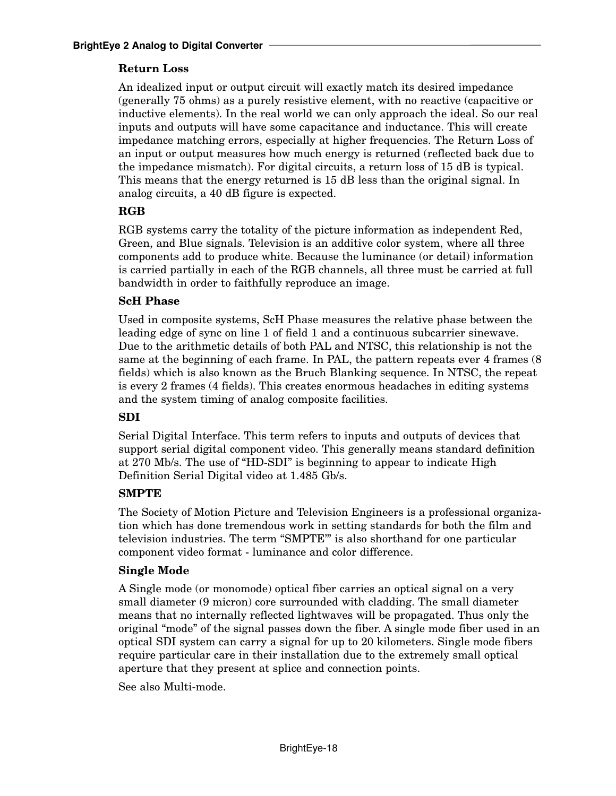### **Return Loss**

An idealized input or output circuit will exactly match its desired impedance (generally 75 ohms) as a purely resistive element, with no reactive (capacitive or inductive elements). In the real world we can only approach the ideal. So our real inputs and outputs will have some capacitance and inductance. This will create impedance matching errors, especially at higher frequencies. The Return Loss of an input or output measures how much energy is returned (reflected back due to the impedance mismatch). For digital circuits, a return loss of 15 dB is typical. This means that the energy returned is 15 dB less than the original signal. In analog circuits, a 40 dB figure is expected.

### **RGB**

RGB systems carry the totality of the picture information as independent Red, Green, and Blue signals. Television is an additive color system, where all three components add to produce white. Because the luminance (or detail) information is carried partially in each of the RGB channels, all three must be carried at full bandwidth in order to faithfully reproduce an image.

#### **ScH Phase**

Used in composite systems, ScH Phase measures the relative phase between the leading edge of sync on line 1 of field 1 and a continuous subcarrier sinewave. Due to the arithmetic details of both PAL and NTSC, this relationship is not the same at the beginning of each frame. In PAL, the pattern repeats ever 4 frames (8 fields) which is also known as the Bruch Blanking sequence. In NTSC, the repeat is every 2 frames (4 fields). This creates enormous headaches in editing systems and the system timing of analog composite facilities.

#### **SDI**

Serial Digital Interface. This term refers to inputs and outputs of devices that support serial digital component video. This generally means standard definition at 270 Mb/s. The use of "HD-SDI" is beginning to appear to indicate High Definition Serial Digital video at 1.485 Gb/s.

#### **SMPTE**

The Society of Motion Picture and Television Engineers is a professional organization which has done tremendous work in setting standards for both the film and television industries. The term "SMPTE'" is also shorthand for one particular component video format - luminance and color difference.

#### **Single Mode**

A Single mode (or monomode) optical fiber carries an optical signal on a very small diameter (9 micron) core surrounded with cladding. The small diameter means that no internally reflected lightwaves will be propagated. Thus only the original "mode" of the signal passes down the fiber. A single mode fiber used in an optical SDI system can carry a signal for up to 20 kilometers. Single mode fibers require particular care in their installation due to the extremely small optical aperture that they present at splice and connection points.

See also Multi-mode.